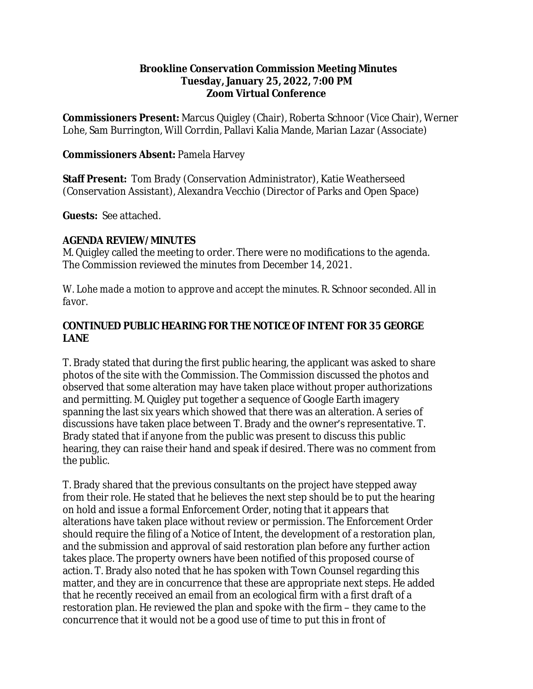#### **Brookline Conservation Commission Meeting Minutes Tuesday, January 25, 2022, 7:00 PM Zoom Virtual Conference**

**Commissioners Present:** Marcus Quigley (Chair), Roberta Schnoor (Vice Chair), Werner Lohe, Sam Burrington, Will Corrdin, Pallavi Kalia Mande, Marian Lazar (Associate)

### **Commissioners Absent:** Pamela Harvey

**Staff Present:** Tom Brady (Conservation Administrator), Katie Weatherseed (Conservation Assistant), Alexandra Vecchio (Director of Parks and Open Space)

**Guests:** See attached.

#### **AGENDA REVIEW/MINUTES**

M. Quigley called the meeting to order. There were no modifications to the agenda. The Commission reviewed the minutes from December 14, 2021.

*W. Lohe made a motion to approve and accept the minutes. R. Schnoor seconded. All in favor.* 

### **CONTINUED PUBLIC HEARING FOR THE NOTICE OF INTENT FOR 35 GEORGE LANE**

T. Brady stated that during the first public hearing, the applicant was asked to share photos of the site with the Commission. The Commission discussed the photos and observed that some alteration may have taken place without proper authorizations and permitting. M. Quigley put together a sequence of Google Earth imagery spanning the last six years which showed that there was an alteration. A series of discussions have taken place between T. Brady and the owner's representative. T. Brady stated that if anyone from the public was present to discuss this public hearing, they can raise their hand and speak if desired. There was no comment from the public.

T. Brady shared that the previous consultants on the project have stepped away from their role. He stated that he believes the next step should be to put the hearing on hold and issue a formal Enforcement Order, noting that it appears that alterations have taken place without review or permission. The Enforcement Order should require the filing of a Notice of Intent, the development of a restoration plan, and the submission and approval of said restoration plan before any further action takes place. The property owners have been notified of this proposed course of action. T. Brady also noted that he has spoken with Town Counsel regarding this matter, and they are in concurrence that these are appropriate next steps. He added that he recently received an email from an ecological firm with a first draft of a restoration plan. He reviewed the plan and spoke with the firm – they came to the concurrence that it would not be a good use of time to put this in front of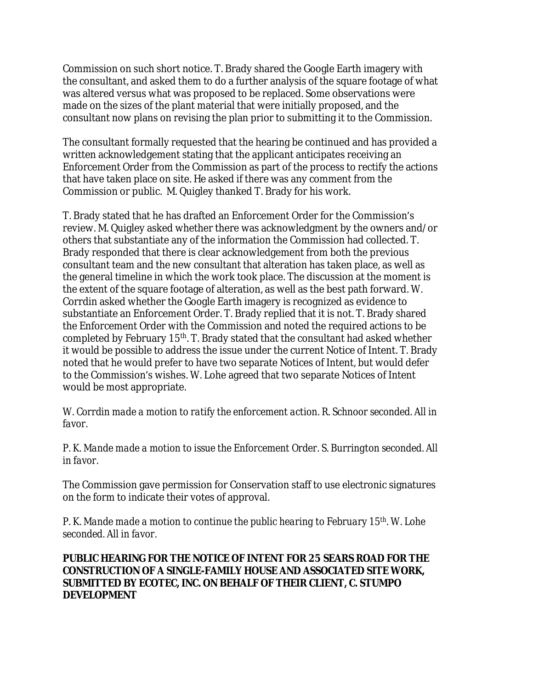Commission on such short notice. T. Brady shared the Google Earth imagery with the consultant, and asked them to do a further analysis of the square footage of what was altered versus what was proposed to be replaced. Some observations were made on the sizes of the plant material that were initially proposed, and the consultant now plans on revising the plan prior to submitting it to the Commission.

The consultant formally requested that the hearing be continued and has provided a written acknowledgement stating that the applicant anticipates receiving an Enforcement Order from the Commission as part of the process to rectify the actions that have taken place on site. He asked if there was any comment from the Commission or public. M. Quigley thanked T. Brady for his work.

T. Brady stated that he has drafted an Enforcement Order for the Commission's review. M. Quigley asked whether there was acknowledgment by the owners and/or others that substantiate any of the information the Commission had collected. T. Brady responded that there is clear acknowledgement from both the previous consultant team and the new consultant that alteration has taken place, as well as the general timeline in which the work took place. The discussion at the moment is the extent of the square footage of alteration, as well as the best path forward. W. Corrdin asked whether the Google Earth imagery is recognized as evidence to substantiate an Enforcement Order. T. Brady replied that it is not. T. Brady shared the Enforcement Order with the Commission and noted the required actions to be completed by February 15th. T. Brady stated that the consultant had asked whether it would be possible to address the issue under the current Notice of Intent. T. Brady noted that he would prefer to have two separate Notices of Intent, but would defer to the Commission's wishes. W. Lohe agreed that two separate Notices of Intent would be most appropriate.

*W. Corrdin made a motion to ratify the enforcement action. R. Schnoor seconded. All in favor.* 

*P. K. Mande made a motion to issue the Enforcement Order. S. Burrington seconded. All in favor.* 

The Commission gave permission for Conservation staff to use electronic signatures on the form to indicate their votes of approval.

*P. K. Mande made a motion to continue the public hearing to February 15th . W. Lohe seconded. All in favor.*

#### **PUBLIC HEARING FOR THE NOTICE OF INTENT FOR 25 SEARS ROAD FOR THE CONSTRUCTION OF A SINGLE-FAMILY HOUSE AND ASSOCIATED SITE WORK, SUBMITTED BY ECOTEC, INC. ON BEHALF OF THEIR CLIENT, C. STUMPO DEVELOPMENT**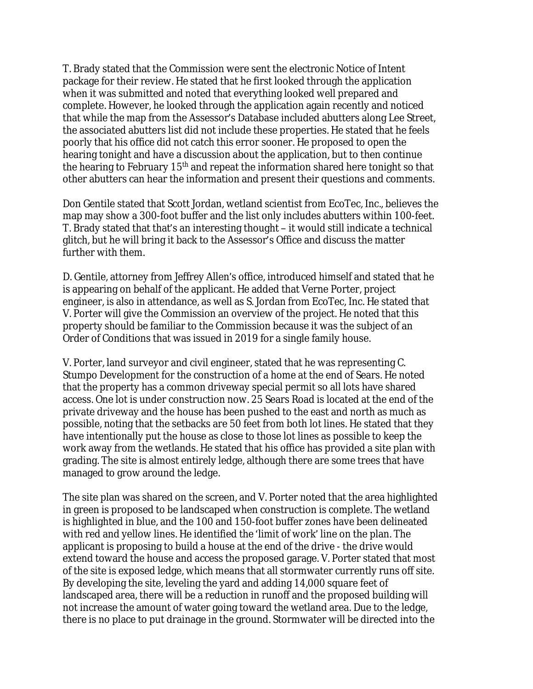T. Brady stated that the Commission were sent the electronic Notice of Intent package for their review. He stated that he first looked through the application when it was submitted and noted that everything looked well prepared and complete. However, he looked through the application again recently and noticed that while the map from the Assessor's Database included abutters along Lee Street, the associated abutters list did not include these properties. He stated that he feels poorly that his office did not catch this error sooner. He proposed to open the hearing tonight and have a discussion about the application, but to then continue the hearing to February  $15<sup>th</sup>$  and repeat the information shared here tonight so that other abutters can hear the information and present their questions and comments.

Don Gentile stated that Scott Jordan, wetland scientist from EcoTec, Inc., believes the map may show a 300-foot buffer and the list only includes abutters within 100-feet. T. Brady stated that that's an interesting thought – it would still indicate a technical glitch, but he will bring it back to the Assessor's Office and discuss the matter further with them.

D. Gentile, attorney from Jeffrey Allen's office, introduced himself and stated that he is appearing on behalf of the applicant. He added that Verne Porter, project engineer, is also in attendance, as well as S. Jordan from EcoTec, Inc. He stated that V. Porter will give the Commission an overview of the project. He noted that this property should be familiar to the Commission because it was the subject of an Order of Conditions that was issued in 2019 for a single family house.

V. Porter, land surveyor and civil engineer, stated that he was representing C. Stumpo Development for the construction of a home at the end of Sears. He noted that the property has a common driveway special permit so all lots have shared access. One lot is under construction now. 25 Sears Road is located at the end of the private driveway and the house has been pushed to the east and north as much as possible, noting that the setbacks are 50 feet from both lot lines. He stated that they have intentionally put the house as close to those lot lines as possible to keep the work away from the wetlands. He stated that his office has provided a site plan with grading. The site is almost entirely ledge, although there are some trees that have managed to grow around the ledge.

The site plan was shared on the screen, and V. Porter noted that the area highlighted in green is proposed to be landscaped when construction is complete. The wetland is highlighted in blue, and the 100 and 150-foot buffer zones have been delineated with red and yellow lines. He identified the 'limit of work' line on the plan. The applicant is proposing to build a house at the end of the drive - the drive would extend toward the house and access the proposed garage. V. Porter stated that most of the site is exposed ledge, which means that all stormwater currently runs off site. By developing the site, leveling the yard and adding 14,000 square feet of landscaped area, there will be a reduction in runoff and the proposed building will not increase the amount of water going toward the wetland area. Due to the ledge, there is no place to put drainage in the ground. Stormwater will be directed into the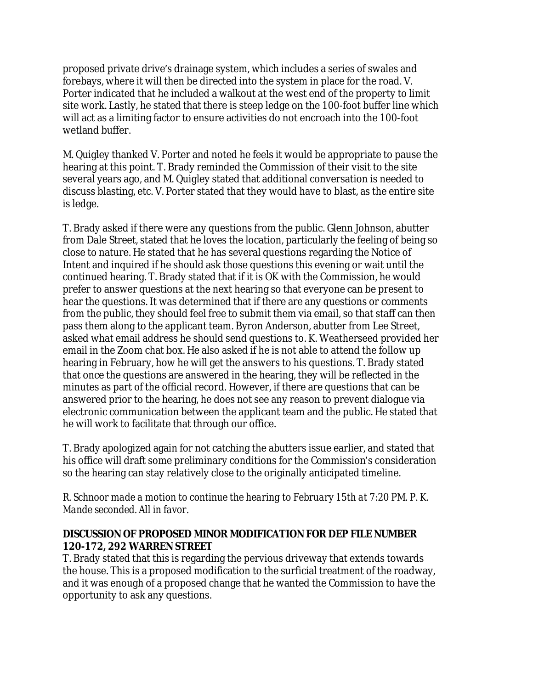proposed private drive's drainage system, which includes a series of swales and forebays, where it will then be directed into the system in place for the road. V. Porter indicated that he included a walkout at the west end of the property to limit site work. Lastly, he stated that there is steep ledge on the 100-foot buffer line which will act as a limiting factor to ensure activities do not encroach into the 100-foot wetland buffer.

M. Quigley thanked V. Porter and noted he feels it would be appropriate to pause the hearing at this point. T. Brady reminded the Commission of their visit to the site several years ago, and M. Quigley stated that additional conversation is needed to discuss blasting, etc. V. Porter stated that they would have to blast, as the entire site is ledge.

T. Brady asked if there were any questions from the public. Glenn Johnson, abutter from Dale Street, stated that he loves the location, particularly the feeling of being so close to nature. He stated that he has several questions regarding the Notice of Intent and inquired if he should ask those questions this evening or wait until the continued hearing. T. Brady stated that if it is OK with the Commission, he would prefer to answer questions at the next hearing so that everyone can be present to hear the questions. It was determined that if there are any questions or comments from the public, they should feel free to submit them via email, so that staff can then pass them along to the applicant team. Byron Anderson, abutter from Lee Street, asked what email address he should send questions to. K. Weatherseed provided her email in the Zoom chat box. He also asked if he is not able to attend the follow up hearing in February, how he will get the answers to his questions. T. Brady stated that once the questions are answered in the hearing, they will be reflected in the minutes as part of the official record. However, if there are questions that can be answered prior to the hearing, he does not see any reason to prevent dialogue via electronic communication between the applicant team and the public. He stated that he will work to facilitate that through our office.

T. Brady apologized again for not catching the abutters issue earlier, and stated that his office will draft some preliminary conditions for the Commission's consideration so the hearing can stay relatively close to the originally anticipated timeline.

*R. Schnoor made a motion to continue the hearing to February 15th at 7:20 PM. P. K. Mande seconded. All in favor.*

# **DISCUSSION OF PROPOSED MINOR MODIFICATION FOR DEP FILE NUMBER 120-172, 292 WARREN STREET**

T. Brady stated that this is regarding the pervious driveway that extends towards the house. This is a proposed modification to the surficial treatment of the roadway, and it was enough of a proposed change that he wanted the Commission to have the opportunity to ask any questions.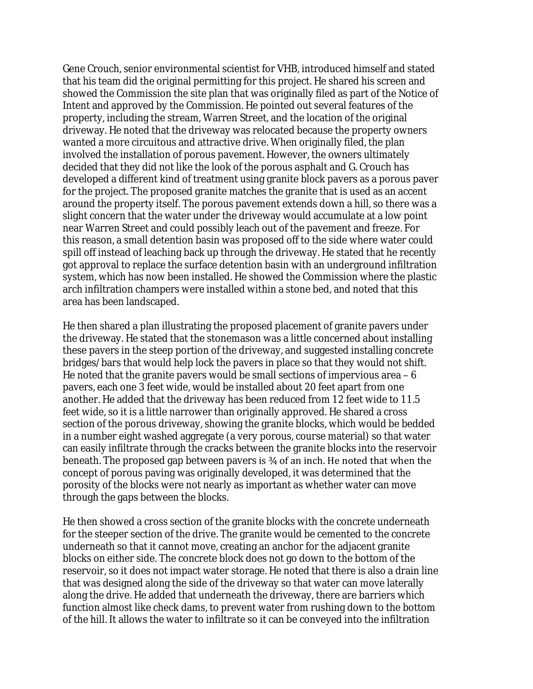Gene Crouch, senior environmental scientist for VHB, introduced himself and stated that his team did the original permitting for this project. He shared his screen and showed the Commission the site plan that was originally filed as part of the Notice of Intent and approved by the Commission. He pointed out several features of the property, including the stream, Warren Street, and the location of the original driveway. He noted that the driveway was relocated because the property owners wanted a more circuitous and attractive drive. When originally filed, the plan involved the installation of porous pavement. However, the owners ultimately decided that they did not like the look of the porous asphalt and G. Crouch has developed a different kind of treatment using granite block pavers as a porous paver for the project. The proposed granite matches the granite that is used as an accent around the property itself. The porous pavement extends down a hill, so there was a slight concern that the water under the driveway would accumulate at a low point near Warren Street and could possibly leach out of the pavement and freeze. For this reason, a small detention basin was proposed off to the side where water could spill off instead of leaching back up through the driveway. He stated that he recently got approval to replace the surface detention basin with an underground infiltration system, which has now been installed. He showed the Commission where the plastic arch infiltration champers were installed within a stone bed, and noted that this area has been landscaped.

He then shared a plan illustrating the proposed placement of granite pavers under the driveway. He stated that the stonemason was a little concerned about installing these pavers in the steep portion of the driveway, and suggested installing concrete bridges/bars that would help lock the pavers in place so that they would not shift. He noted that the granite pavers would be small sections of impervious area – 6 pavers, each one 3 feet wide, would be installed about 20 feet apart from one another. He added that the driveway has been reduced from 12 feet wide to 11.5 feet wide, so it is a little narrower than originally approved. He shared a cross section of the porous driveway, showing the granite blocks, which would be bedded in a number eight washed aggregate (a very porous, course material) so that water can easily infiltrate through the cracks between the granite blocks into the reservoir beneath. The proposed gap between pavers is ¾ of an inch. He noted that when the concept of porous paving was originally developed, it was determined that the porosity of the blocks were not nearly as important as whether water can move through the gaps between the blocks.

He then showed a cross section of the granite blocks with the concrete underneath for the steeper section of the drive. The granite would be cemented to the concrete underneath so that it cannot move, creating an anchor for the adjacent granite blocks on either side. The concrete block does not go down to the bottom of the reservoir, so it does not impact water storage. He noted that there is also a drain line that was designed along the side of the driveway so that water can move laterally along the drive. He added that underneath the driveway, there are barriers which function almost like check dams, to prevent water from rushing down to the bottom of the hill. It allows the water to infiltrate so it can be conveyed into the infiltration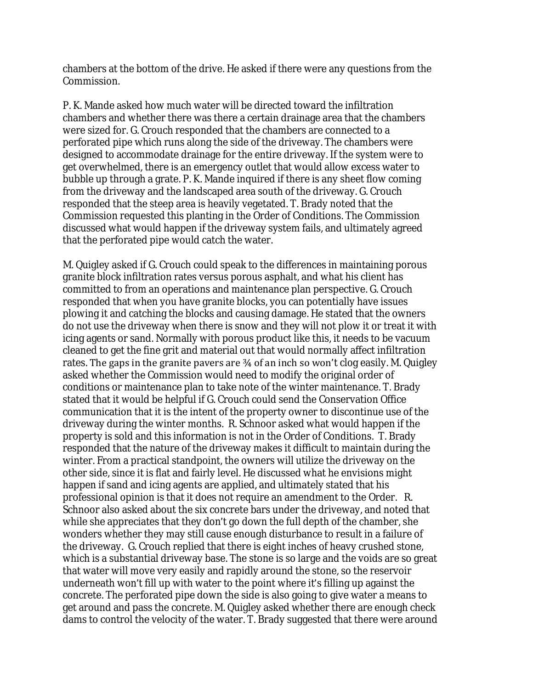chambers at the bottom of the drive. He asked if there were any questions from the Commission.

P. K. Mande asked how much water will be directed toward the infiltration chambers and whether there was there a certain drainage area that the chambers were sized for. G. Crouch responded that the chambers are connected to a perforated pipe which runs along the side of the driveway. The chambers were designed to accommodate drainage for the entire driveway. If the system were to get overwhelmed, there is an emergency outlet that would allow excess water to bubble up through a grate. P. K. Mande inquired if there is any sheet flow coming from the driveway and the landscaped area south of the driveway. G. Crouch responded that the steep area is heavily vegetated. T. Brady noted that the Commission requested this planting in the Order of Conditions. The Commission discussed what would happen if the driveway system fails, and ultimately agreed that the perforated pipe would catch the water.

M. Quigley asked if G. Crouch could speak to the differences in maintaining porous granite block infiltration rates versus porous asphalt, and what his client has committed to from an operations and maintenance plan perspective. G. Crouch responded that when you have granite blocks, you can potentially have issues plowing it and catching the blocks and causing damage. He stated that the owners do not use the driveway when there is snow and they will not plow it or treat it with icing agents or sand. Normally with porous product like this, it needs to be vacuum cleaned to get the fine grit and material out that would normally affect infiltration rates. The gaps in the granite pavers are ¾ of an inch so won't clog easily. M. Quigley asked whether the Commission would need to modify the original order of conditions or maintenance plan to take note of the winter maintenance. T. Brady stated that it would be helpful if G. Crouch could send the Conservation Office communication that it is the intent of the property owner to discontinue use of the driveway during the winter months. R. Schnoor asked what would happen if the property is sold and this information is not in the Order of Conditions. T. Brady responded that the nature of the driveway makes it difficult to maintain during the winter. From a practical standpoint, the owners will utilize the driveway on the other side, since it is flat and fairly level. He discussed what he envisions might happen if sand and icing agents are applied, and ultimately stated that his professional opinion is that it does not require an amendment to the Order. R. Schnoor also asked about the six concrete bars under the driveway, and noted that while she appreciates that they don't go down the full depth of the chamber, she wonders whether they may still cause enough disturbance to result in a failure of the driveway. G. Crouch replied that there is eight inches of heavy crushed stone, which is a substantial driveway base. The stone is so large and the voids are so great that water will move very easily and rapidly around the stone, so the reservoir underneath won't fill up with water to the point where it's filling up against the concrete. The perforated pipe down the side is also going to give water a means to get around and pass the concrete. M. Quigley asked whether there are enough check dams to control the velocity of the water. T. Brady suggested that there were around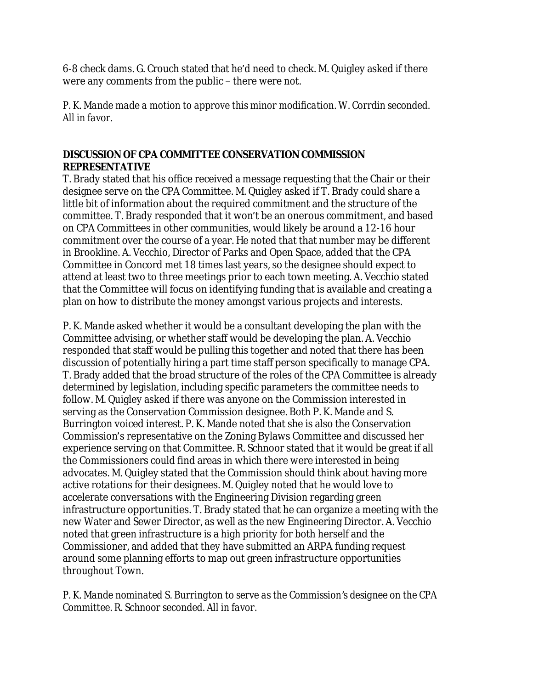6-8 check dams. G. Crouch stated that he'd need to check. M. Quigley asked if there were any comments from the public – there were not.

*P. K. Mande made a motion to approve this minor modification. W. Corrdin seconded. All in favor.* 

# **DISCUSSION OF CPA COMMITTEE CONSERVATION COMMISSION REPRESENTATIVE**

T. Brady stated that his office received a message requesting that the Chair or their designee serve on the CPA Committee. M. Quigley asked if T. Brady could share a little bit of information about the required commitment and the structure of the committee. T. Brady responded that it won't be an onerous commitment, and based on CPA Committees in other communities, would likely be around a 12-16 hour commitment over the course of a year. He noted that that number may be different in Brookline. A. Vecchio, Director of Parks and Open Space, added that the CPA Committee in Concord met 18 times last years, so the designee should expect to attend at least two to three meetings prior to each town meeting. A. Vecchio stated that the Committee will focus on identifying funding that is available and creating a plan on how to distribute the money amongst various projects and interests.

P. K. Mande asked whether it would be a consultant developing the plan with the Committee advising, or whether staff would be developing the plan. A. Vecchio responded that staff would be pulling this together and noted that there has been discussion of potentially hiring a part time staff person specifically to manage CPA. T. Brady added that the broad structure of the roles of the CPA Committee is already determined by legislation, including specific parameters the committee needs to follow. M. Quigley asked if there was anyone on the Commission interested in serving as the Conservation Commission designee. Both P. K. Mande and S. Burrington voiced interest. P. K. Mande noted that she is also the Conservation Commission's representative on the Zoning Bylaws Committee and discussed her experience serving on that Committee. R. Schnoor stated that it would be great if all the Commissioners could find areas in which there were interested in being advocates. M. Quigley stated that the Commission should think about having more active rotations for their designees. M. Quigley noted that he would love to accelerate conversations with the Engineering Division regarding green infrastructure opportunities. T. Brady stated that he can organize a meeting with the new Water and Sewer Director, as well as the new Engineering Director. A. Vecchio noted that green infrastructure is a high priority for both herself and the Commissioner, and added that they have submitted an ARPA funding request around some planning efforts to map out green infrastructure opportunities throughout Town.

*P. K. Mande nominated S. Burrington to serve as the Commission's designee on the CPA Committee. R. Schnoor seconded. All in favor.*